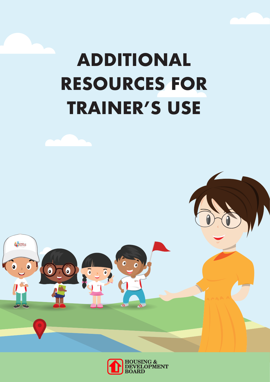# **ADDITIONAL RESOURCES FOR TRAINER'S USE**



 $\ddot{\mathbf{c}}$ 

 $\ddot{\mathbf{c}}$ 

 $45$ 

 $\delta$ 

 $\overline{\bullet}$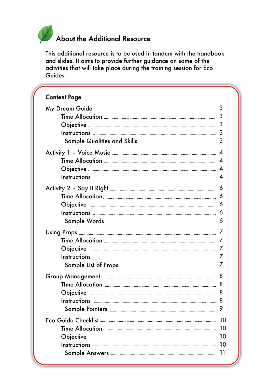# About the Additional Resource

This additional resource is to be used in tandem with the handbook and slides. It aims to provide further guidance on some of the activities that will take place during the training session for Eco Guides.

| <b>Content Page</b>                                                                                                                                                                                                                  |    |
|--------------------------------------------------------------------------------------------------------------------------------------------------------------------------------------------------------------------------------------|----|
|                                                                                                                                                                                                                                      |    |
|                                                                                                                                                                                                                                      |    |
|                                                                                                                                                                                                                                      | 3  |
|                                                                                                                                                                                                                                      |    |
|                                                                                                                                                                                                                                      |    |
|                                                                                                                                                                                                                                      |    |
|                                                                                                                                                                                                                                      |    |
|                                                                                                                                                                                                                                      |    |
|                                                                                                                                                                                                                                      |    |
|                                                                                                                                                                                                                                      |    |
|                                                                                                                                                                                                                                      |    |
|                                                                                                                                                                                                                                      |    |
|                                                                                                                                                                                                                                      |    |
|                                                                                                                                                                                                                                      |    |
|                                                                                                                                                                                                                                      |    |
|                                                                                                                                                                                                                                      |    |
|                                                                                                                                                                                                                                      |    |
|                                                                                                                                                                                                                                      |    |
|                                                                                                                                                                                                                                      |    |
|                                                                                                                                                                                                                                      | 8  |
|                                                                                                                                                                                                                                      | 8  |
| Obiective                                                                                                                                                                                                                            | 8  |
|                                                                                                                                                                                                                                      | 8  |
| Sample Pointers <b>Command Command Communist Communist Communist Communist Communist Communist Communist Communist Communist Communist Communist Communist Communist Communist Communist Communist Communist Communist Communist</b> | 9  |
|                                                                                                                                                                                                                                      | 10 |
|                                                                                                                                                                                                                                      | 10 |
| Objective <u>with the communication of the contract of the contract of the contract of the contract of the contract of the contract of the contract of the contract of the contract of the contract of the contract of the contr</u> | 10 |
|                                                                                                                                                                                                                                      | 10 |
|                                                                                                                                                                                                                                      | 11 |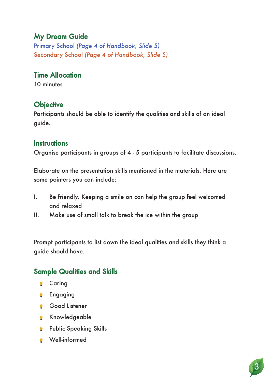# My Dream Guide

Primary School *(Page 4 of Handbook, Slide 5)* Secondary School *(Page 4 of Handbook, Slide 5)*

#### Time Allocation

10 minutes

#### **Objective**

Participants should be able to identify the qualities and skills of an ideal guide.

#### **Instructions**

Organise participants in groups of 4 - 5 participants to facilitate discussions.

Elaborate on the presentation skills mentioned in the materials. Here are some pointers you can include:

- I. Be friendly. Keeping a smile on can help the group feel welcomed and relaxed
- II. Make use of small talk to break the ice within the group

Prompt participants to list down the ideal qualities and skills they think a guide should have.

## Sample Qualities and Skills

- **Caring**
- **P** Engaging
- Good Listener
- **Knowledgeable**
- **Public Speaking Skills**
- Well-informed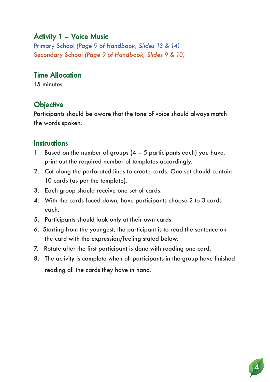### Activity 1 – Voice Music

Primary School *(Page 9 of Handbook, Slides 13 & 14)* Secondary School *(Page 9 of Handbook, Slides 9 & 10)*

#### Time Allocation

15 minutes

#### **Objective**

Participants should be aware that the tone of voice should always match the words spoken.

#### **Instructions**

- 1. Based on the number of groups (4 5 participants each) you have, print out the required number of templates accordingly.
- 2. Cut along the perforated lines to create cards. One set should contain 10 cards (as per the template).
- 3. Each group should receive one set of cards.
- 4. With the cards faced down, have participants choose 2 to 3 cards each.
- 5. Participants should look only at their own cards.
- 6. Starting from the youngest, the participant is to read the sentence on the card with the expression/feeling stated below.
- 7. Rotate after the first participant is done with reading one card.
- 8. The activity is complete when all participants in the group have finished reading all the cards they have in hand.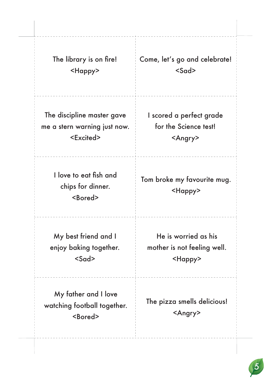| The library is on fire!                                    | Come, let's go and celebrate!                     |
|------------------------------------------------------------|---------------------------------------------------|
| <happy></happy>                                            | $<$ Sad>                                          |
| The discipline master gave<br>me a stern warning just now. | I scored a perfect grade<br>for the Science test! |
| <excited></excited>                                        | <angry></angry>                                   |
| I love to eat fish and                                     | Tom broke my favourite mug.                       |
| chips for dinner.<br><bored></bored>                       | <happy></happy>                                   |
| My best friend and I                                       | He is worried as his                              |
| enjoy baking together.<br>$<$ Sad>                         | mother is not feeling well.<br><happy></happy>    |
| My father and I love                                       | The pizza smells delicious!                       |
| watching football together.<br><bored></bored>             | <angry></angry>                                   |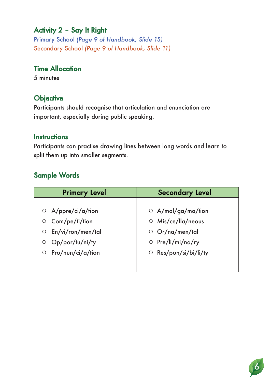# Activity 2 – Say It Right

Primary School *(Page 9 of Handbook, Slide 15)* Secondary School *(Page 9 of Handbook, Slide 11)*

# Time Allocation

5 minutes

### **Objective**

Participants should recognise that articulation and enunciation are important, especially during public speaking.

#### **Instructions**

Participants can practise drawing lines between long words and learn to split them up into smaller segments.

# Sample Words

| <b>Primary Level</b>         | <b>Secondary Level</b>      |
|------------------------------|-----------------------------|
|                              |                             |
| $\circ$ A/ppre/ci/a/tion     | $\circ$ A/mal/ga/ma/tion    |
| Com/pe/ti/tion<br>$\circ$    | $\circ$ Mis/ce/lla/neous    |
| En/vi/ron/men/tal<br>$\circ$ | O Or/na/men/tal             |
| Op/por/tu/ni/ty<br>O         | $\circ$ Pre/li/mi/na/ry     |
| Pro/nun/ci/a/tion<br>$\circ$ | $\circ$ Res/pon/si/bi/li/ty |
|                              |                             |
|                              |                             |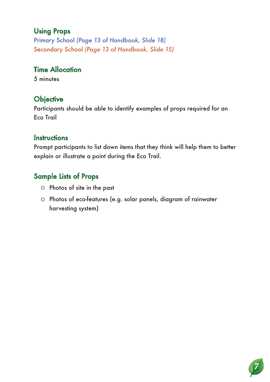## Using Props

Primary School *(Page 13 of Handbook, Slide 18)* Secondary School *(Page 13 of Handbook, Slide 15)*

#### Time Allocation

5 minutes

# **Objective**

Participants should be able to identify examples of props required for an Eco Trail

#### **Instructions**

Prompt participants to list down items that they think will help them to better explain or illustrate a point during the Eco Trail.

# Sample Lists of Props

- $\circ$  Photos of site in the past
- O Photos of eco-features (e.g. solar panels, diagram of rainwater harvesting system)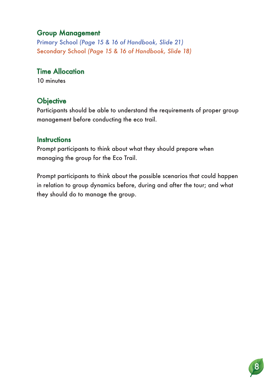#### Group Management

Primary School *(Page 15 & 16 of Handbook, Slide 21)* Secondary School *(Page 15 & 16 of Handbook, Slide 18)*

#### Time Allocation

10 minutes

#### **Objective**

Participants should be able to understand the requirements of proper group management before conducting the eco trail.

#### **Instructions**

Prompt participants to think about what they should prepare when managing the group for the Eco Trail.

Prompt participants to think about the possible scenarios that could happen in relation to group dynamics before, during and after the tour; and what they should do to manage the group.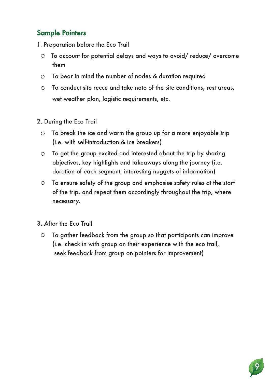# Sample Pointers

- 1. Preparation before the Eco Trail
	- To account for potential delays and ways to avoid/ reduce/ overcome them
	- To bear in mind the number of nodes & duration required
	- To conduct site recce and take note of the site conditions, rest areas, wet weather plan, logistic requirements, etc.
- 2. During the Eco Trail
	- $\circ$  To break the ice and warm the group up for a more enjoyable trip (i.e. with self-introduction & ice breakers)
	- To get the group excited and interested about the trip by sharing objectives, key highlights and takeaways along the journey (i.e. duration of each segment, interesting nuggets of information)
	- To ensure safety of the group and emphasise safety rules at the start of the trip, and repeat them accordingly throughout the trip, where necessary.

3. After the Eco Trail

 To gather feedback from the group so that participants can improve (i.e. check in with group on their experience with the eco trail, seek feedback from group on pointers for improvement)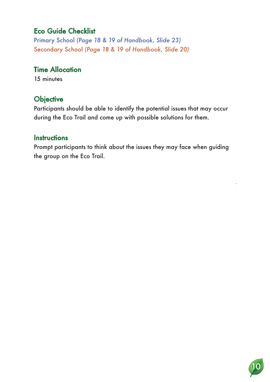# Eco Guide Checklist

Primary School *(Page 18 & 19 of Handbook, Slide 23)* Secondary School *(Page 18 & 19 of Handbook, Slide 20)*

#### Time Allocation

15 minutes

# **Objective**

Participants should be able to identify the potential issues that may occur during the Eco Trail and come up with possible solutions for them.

#### **Instructions**

Prompt participants to think about the issues they may face when guiding the group on the Eco Trail.

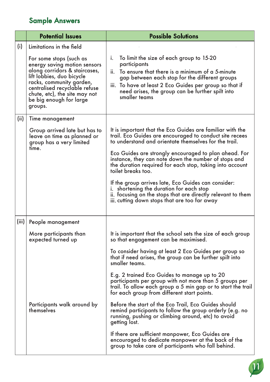# Sample Answers

|       | <b>Potential Issues</b>                                                                                                                                                                                                                                   | <b>Possible Solutions</b>                                                                                                                                                                                                                                                                                                                                                                                                                                                                                                                                                                            |
|-------|-----------------------------------------------------------------------------------------------------------------------------------------------------------------------------------------------------------------------------------------------------------|------------------------------------------------------------------------------------------------------------------------------------------------------------------------------------------------------------------------------------------------------------------------------------------------------------------------------------------------------------------------------------------------------------------------------------------------------------------------------------------------------------------------------------------------------------------------------------------------------|
| (i)   | Limitations in the field                                                                                                                                                                                                                                  |                                                                                                                                                                                                                                                                                                                                                                                                                                                                                                                                                                                                      |
|       | For some stops (such as<br>energy saving motion sensors<br>along corridors & staircases,<br>lift lobbies, duo bicycle<br>racks, community garden,<br>centralised recyclable refuse<br>chute, etc), the site may not<br>be big enough for large<br>groups. | To limit the size of each group to 15-20<br>i.<br>participants<br>To ensure that there is a minimum of a 5-minute<br>ii.<br>gap between each stop for the different groups<br>iii. To have at least 2 Eco Guides per group so that if<br>need arises, the group can be further spilt into<br>smaller teams                                                                                                                                                                                                                                                                                           |
| (ii)  | Time management                                                                                                                                                                                                                                           |                                                                                                                                                                                                                                                                                                                                                                                                                                                                                                                                                                                                      |
|       | Group arrived late but has to<br>leave on time as planned or<br>group has a very limited<br>time.                                                                                                                                                         | It is important that the Eco Guides are familiar with the<br>trail. Eco Guides are encouraged to conduct site recees<br>to understand and orientate themselves for the trail.<br>Eco Guides are strongly encouraged to plan ahead. For<br>instance, they can note down the number of stops and<br>the duration required for each stop, taking into account<br>toilet breaks too.<br>If the group arrives late, Eco Guides can consider:<br>i. shortening the duration for each stop<br>ii. focusing on the stops that are directly relevant to them<br>iii. cutting down stops that are too far away |
| (iii) | People management                                                                                                                                                                                                                                         |                                                                                                                                                                                                                                                                                                                                                                                                                                                                                                                                                                                                      |
|       | More participants than<br>expected turned up                                                                                                                                                                                                              | It is important that the school sets the size of each group<br>so that engagement can be maximised.                                                                                                                                                                                                                                                                                                                                                                                                                                                                                                  |
|       |                                                                                                                                                                                                                                                           | To consider having at least 2 Eco Guides per group so<br>that if need arises, the group can be further spilt into<br>smaller teams.                                                                                                                                                                                                                                                                                                                                                                                                                                                                  |
|       |                                                                                                                                                                                                                                                           | E.g. 2 trained Eco Guides to manage up to 20<br>participants per group with not more than 5 groups per<br>trail. To allow each group a 5 min gap or to start the trail<br>for each group from different start points.                                                                                                                                                                                                                                                                                                                                                                                |
|       | Participants walk around by<br>themselves                                                                                                                                                                                                                 | Before the start of the Eco Trail, Eco Guides should<br>remind participants to follow the group orderly (e.g. no<br>running, pushing or climbing around, etc) to avoid<br>getting lost.                                                                                                                                                                                                                                                                                                                                                                                                              |
|       |                                                                                                                                                                                                                                                           | If there are sufficient manpower, Eco Guides are<br>encouraged to dedicate manpower at the back of the<br>group to take care of participants who fall behind.                                                                                                                                                                                                                                                                                                                                                                                                                                        |